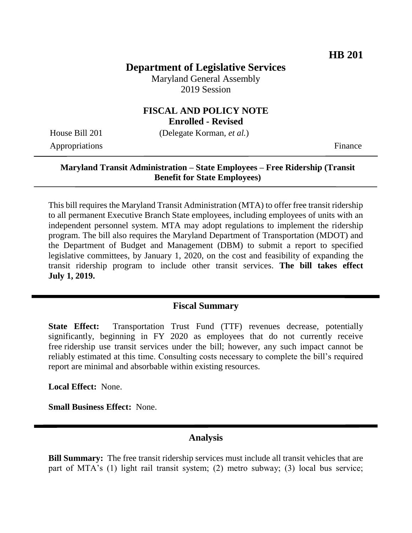## **Department of Legislative Services**

Maryland General Assembly 2019 Session

# **FISCAL AND POLICY NOTE**

**Enrolled - Revised**

Appropriations Finance

House Bill 201 (Delegate Korman, *et al.*)

#### **Maryland Transit Administration – State Employees – Free Ridership (Transit Benefit for State Employees)**

This bill requires the Maryland Transit Administration (MTA) to offer free transit ridership to all permanent Executive Branch State employees, including employees of units with an independent personnel system. MTA may adopt regulations to implement the ridership program. The bill also requires the Maryland Department of Transportation (MDOT) and the Department of Budget and Management (DBM) to submit a report to specified legislative committees, by January 1, 2020, on the cost and feasibility of expanding the transit ridership program to include other transit services. **The bill takes effect July 1, 2019.** 

## **Fiscal Summary**

**State Effect:** Transportation Trust Fund (TTF) revenues decrease, potentially significantly, beginning in FY 2020 as employees that do not currently receive free ridership use transit services under the bill; however, any such impact cannot be reliably estimated at this time. Consulting costs necessary to complete the bill's required report are minimal and absorbable within existing resources.

**Local Effect:** None.

**Small Business Effect:** None.

#### **Analysis**

**Bill Summary:** The free transit ridership services must include all transit vehicles that are part of MTA's (1) light rail transit system; (2) metro subway; (3) local bus service;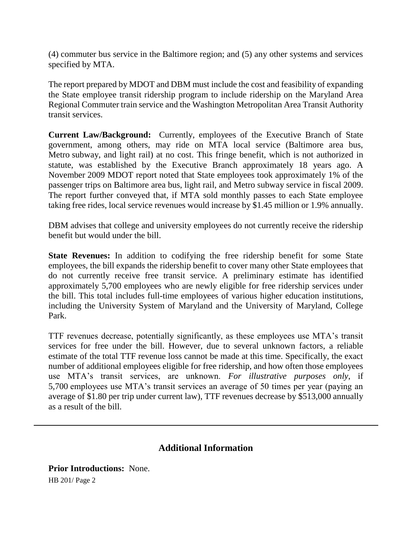(4) commuter bus service in the Baltimore region; and (5) any other systems and services specified by MTA.

The report prepared by MDOT and DBM must include the cost and feasibility of expanding the State employee transit ridership program to include ridership on the Maryland Area Regional Commuter train service and the Washington Metropolitan Area Transit Authority transit services.

**Current Law/Background:** Currently, employees of the Executive Branch of State government, among others, may ride on MTA local service (Baltimore area bus, Metro subway, and light rail) at no cost. This fringe benefit, which is not authorized in statute, was established by the Executive Branch approximately 18 years ago. A November 2009 MDOT report noted that State employees took approximately 1% of the passenger trips on Baltimore area bus, light rail, and Metro subway service in fiscal 2009. The report further conveyed that, if MTA sold monthly passes to each State employee taking free rides, local service revenues would increase by \$1.45 million or 1.9% annually.

DBM advises that college and university employees do not currently receive the ridership benefit but would under the bill.

**State Revenues:** In addition to codifying the free ridership benefit for some State employees, the bill expands the ridership benefit to cover many other State employees that do not currently receive free transit service. A preliminary estimate has identified approximately 5,700 employees who are newly eligible for free ridership services under the bill. This total includes full-time employees of various higher education institutions, including the University System of Maryland and the University of Maryland, College Park.

TTF revenues decrease, potentially significantly, as these employees use MTA's transit services for free under the bill. However, due to several unknown factors, a reliable estimate of the total TTF revenue loss cannot be made at this time. Specifically, the exact number of additional employees eligible for free ridership, and how often those employees use MTA's transit services, are unknown. *For illustrative purposes only*, if 5,700 employees use MTA's transit services an average of 50 times per year (paying an average of \$1.80 per trip under current law), TTF revenues decrease by \$513,000 annually as a result of the bill.

## **Additional Information**

HB 201/ Page 2 **Prior Introductions:** None.